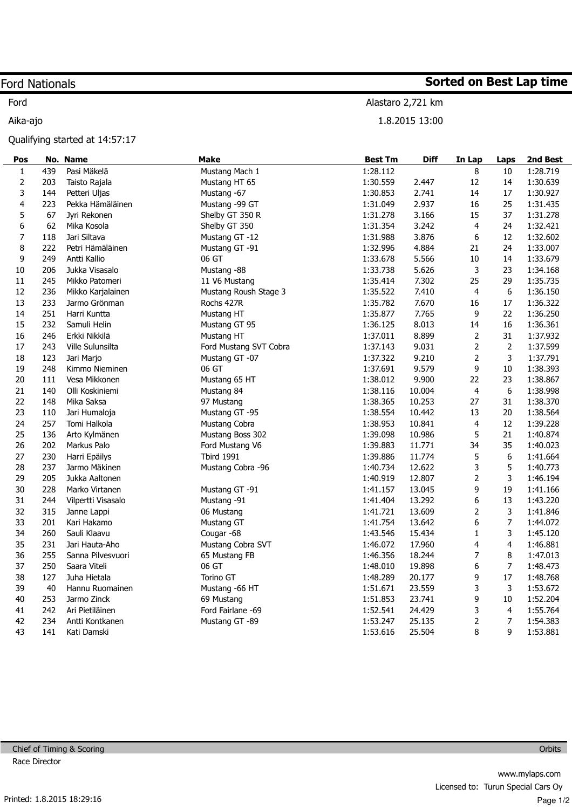## Ford Nationals

Ford

## Aika-ajo

Qualifying started at 14:57:17

| Pos                     |     | No. Name           | <b>Make</b>            | <b>Best Tm</b> | <b>Diff</b> | In Lap                   | Laps             | 2nd Best |
|-------------------------|-----|--------------------|------------------------|----------------|-------------|--------------------------|------------------|----------|
| $\mathbf{1}$            | 439 | Pasi Mäkelä        | Mustang Mach 1         | 1:28.112       |             | 8                        | 10               | 1:28.719 |
| $\mathbf 2$             | 203 | Taisto Rajala      | Mustang HT 65          | 1:30.559       | 2.447       | 12                       | 14               | 1:30.639 |
| 3                       | 144 | Petteri Uljas      | Mustang -67            | 1:30.853       | 2.741       | 14                       | 17               | 1:30.927 |
| $\overline{\mathbf{4}}$ | 223 | Pekka Hämäläinen   | Mustang -99 GT         | 1:31.049       | 2.937       | 16                       | 25               | 1:31.435 |
| 5                       | 67  | Jyri Rekonen       | Shelby GT 350 R        | 1:31.278       | 3.166       | 15                       | 37               | 1:31.278 |
| 6                       | 62  | Mika Kosola        | Shelby GT 350          | 1:31.354       | 3.242       | $\overline{4}$           | 24               | 1:32.421 |
| $\overline{7}$          | 118 | Jari Siltava       | Mustang GT -12         | 1:31.988       | 3.876       | 6                        | 12               | 1:32.602 |
| 8                       | 222 | Petri Hämäläinen   | Mustang GT -91         | 1:32.996       | 4.884       | 21                       | 24               | 1:33.007 |
| 9                       | 249 | Antti Kallio       | 06 GT                  | 1:33.678       | 5.566       | 10                       | 14               | 1:33.679 |
| $10\,$                  | 206 | Jukka Visasalo     | Mustang -88            | 1:33.738       | 5.626       | 3                        | 23               | 1:34.168 |
| 11                      | 245 | Mikko Patomeri     | 11 V6 Mustang          | 1:35.414       | 7.302       | 25                       | 29               | 1:35.735 |
| 12                      | 236 | Mikko Karjalainen  | Mustang Roush Stage 3  | 1:35.522       | 7.410       | $\overline{4}$           | 6                | 1:36.150 |
| 13                      | 233 | Jarmo Grönman      | Rochs 427R             | 1:35.782       | 7.670       | 16                       | $17\,$           | 1:36.322 |
| 14                      | 251 | Harri Kuntta       | Mustang HT             | 1:35.877       | 7.765       | 9                        | 22               | 1:36.250 |
| 15                      | 232 | Samuli Helin       | Mustang GT 95          | 1:36.125       | 8.013       | 14                       | 16               | 1:36.361 |
| 16                      | 246 | Erkki Nikkilä      | Mustang HT             | 1:37.011       | 8.899       | $\mathbf 2$              | 31               | 1:37.932 |
| 17                      | 243 | Ville Sulunsilta   | Ford Mustang SVT Cobra | 1:37.143       | 9.031       | $\mathbf 2$              | $\mathbf 2$      | 1:37.599 |
| 18                      | 123 | Jari Marjo         | Mustang GT -07         | 1:37.322       | 9.210       | $\overline{2}$           | 3                | 1:37.791 |
| 19                      | 248 | Kimmo Nieminen     | 06 GT                  | 1:37.691       | 9.579       | 9                        | 10               | 1:38.393 |
| 20                      | 111 | Vesa Mikkonen      | Mustang 65 HT          | 1:38.012       | 9.900       | 22                       | 23               | 1:38.867 |
| 21                      | 140 | Olli Koskiniemi    | Mustang 84             | 1:38.116       | 10.004      | $\overline{4}$           | 6                | 1:38.998 |
| 22                      | 148 | Mika Saksa         | 97 Mustang             | 1:38.365       | 10.253      | 27                       | 31               | 1:38.370 |
| 23                      | 110 | Jari Humaloja      | Mustang GT -95         | 1:38.554       | 10.442      | 13                       | 20               | 1:38.564 |
| 24                      | 257 | Tomi Halkola       | Mustang Cobra          | 1:38.953       | 10.841      | $\overline{4}$           | 12               | 1:39.228 |
| 25                      | 136 | Arto Kylmänen      | Mustang Boss 302       | 1:39.098       | 10.986      | 5                        | 21               | 1:40.874 |
| 26                      | 202 | Markus Palo        | Ford Mustang V6        | 1:39.883       | 11.771      | 34                       | 35               | 1:40.023 |
| 27                      | 230 | Harri Epäilys      | <b>Tbird 1991</b>      | 1:39.886       | 11.774      | 5                        | 6                | 1:41.664 |
| 28                      | 237 | Jarmo Mäkinen      | Mustang Cobra -96      | 1:40.734       | 12.622      | 3                        | 5                | 1:40.773 |
| 29                      | 205 | Jukka Aaltonen     |                        | 1:40.919       | 12.807      | $\overline{2}$           | 3                | 1:46.194 |
| 30                      | 228 | Marko Virtanen     | Mustang GT -91         | 1:41.157       | 13.045      | 9                        | 19               | 1:41.166 |
| 31                      | 244 | Vilpertti Visasalo | Mustang -91            | 1:41.404       | 13.292      | 6                        | 13               | 1:43.220 |
| 32                      | 315 | Janne Lappi        | 06 Mustang             | 1:41.721       | 13.609      | $\overline{2}$           | 3                | 1:41.846 |
| 33                      | 201 | Kari Hakamo        | Mustang GT             | 1:41.754       | 13.642      | $6\,$                    | $\overline{7}$   | 1:44.072 |
| 34                      | 260 | Sauli Klaavu       | Cougar -68             | 1:43.546       | 15.434      | $\mathbf 1$              | 3                | 1:45.120 |
| 35                      | 231 | Jari Hauta-Aho     | Mustang Cobra SVT      | 1:46.072       | 17.960      | $\overline{\mathcal{A}}$ | $\overline{4}$   | 1:46.881 |
| 36                      | 255 | Sanna Pilvesvuori  | 65 Mustang FB          | 1:46.356       | 18.244      | $\overline{7}$           | 8                | 1:47.013 |
| 37                      | 250 | Saara Viteli       | 06 GT                  | 1:48.010       | 19.898      | $6\,$                    | $\boldsymbol{7}$ | 1:48.473 |
| 38                      | 127 | Juha Hietala       | Torino GT              | 1:48.289       | 20.177      | 9                        | 17               | 1:48.768 |
| 39                      | 40  | Hannu Ruomainen    | Mustang -66 HT         | 1:51.671       | 23.559      | 3                        | 3                | 1:53.672 |
| 40                      | 253 | Jarmo Zinck        | 69 Mustang             | 1:51.853       | 23.741      | 9                        | $10\,$           | 1:52.204 |
| 41                      | 242 | Ari Pietiläinen    | Ford Fairlane -69      | 1:52.541       | 24.429      | 3                        | 4                | 1:55.764 |
| 42                      | 234 | Antti Kontkanen    | Mustang GT -89         | 1:53.247       | 25.135      | $\mathbf 2$              | $\overline{7}$   | 1:54.383 |
| 43                      | 141 | Kati Damski        |                        | 1:53.616       | 25.504      | 8                        | 9                | 1:53.881 |

Sorted on Best Lap time

Alastaro 2,721 km

1.8.2015 13:00